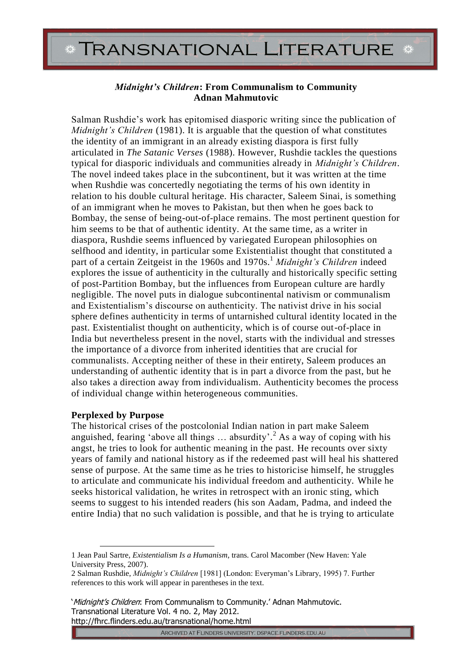# **TRANSNATIONAL LITERATURE**

## *Midnight's Children***: From Communalism to Community Adnan Mahmutovic**

Salman Rushdie's work has epitomised diasporic writing since the publication of *Midnight's Children* (1981). It is arguable that the question of what constitutes the identity of an immigrant in an already existing diaspora is first fully articulated in *The Satanic Verses* (1988). However, Rushdie tackles the questions typical for diasporic individuals and communities already in *Midnight's Children*. The novel indeed takes place in the subcontinent, but it was written at the time when Rushdie was concertedly negotiating the terms of his own identity in relation to his double cultural heritage. His character, Saleem Sinai, is something of an immigrant when he moves to Pakistan, but then when he goes back to Bombay, the sense of being-out-of-place remains. The most pertinent question for him seems to be that of authentic identity. At the same time, as a writer in diaspora, Rushdie seems influenced by variegated European philosophies on selfhood and identity, in particular some Existentialist thought that constituted a part of a certain Zeitgeist in the 1960s and 1970s.<sup>1</sup> *Midnight's Children* indeed explores the issue of authenticity in the culturally and historically specific setting of post-Partition Bombay, but the influences from European culture are hardly negligible. The novel puts in dialogue subcontinental nativism or communalism and Existentialism's discourse on authenticity. The nativist drive in his social sphere defines authenticity in terms of untarnished cultural identity located in the past. Existentialist thought on authenticity, which is of course out-of-place in India but nevertheless present in the novel, starts with the individual and stresses the importance of a divorce from inherited identities that are crucial for communalists. Accepting neither of these in their entirety, Saleem produces an understanding of authentic identity that is in part a divorce from the past, but he also takes a direction away from individualism. Authenticity becomes the process of individual change within heterogeneous communities.

## **Perplexed by Purpose**

The historical crises of the postcolonial Indian nation in part make Saleem anguished, fearing 'above all things ... absurdity'.<sup>2</sup> As a way of coping with his angst, he tries to look for authentic meaning in the past. He recounts over sixty years of family and national history as if the redeemed past will heal his shattered sense of purpose. At the same time as he tries to historicise himself, he struggles to articulate and communicate his individual freedom and authenticity. While he seeks historical validation, he writes in retrospect with an ironic sting, which seems to suggest to his intended readers (his son Aadam, Padma, and indeed the entire India) that no such validation is possible, and that he is trying to articulate

'Midnight's Children: From Communalism to Community.' Adnan Mahmutovic. Transnational Literature Vol. 4 no. 2, May 2012. http://fhrc.flinders.edu.au/transnational/home.html

ARCHIVED AT FLINDERS UNIVERSITY: DSPACE.FLINDERS.EDU.AU

<sup>1</sup> Jean Paul Sartre, *Existentialism Is a Humanism*, trans. Carol Macomber (New Haven: Yale University Press, 2007).

<sup>2</sup> Salman Rushdie, *Midnight's Children* [1981] (London: Everyman's Library, 1995) 7. Further references to this work will appear in parentheses in the text.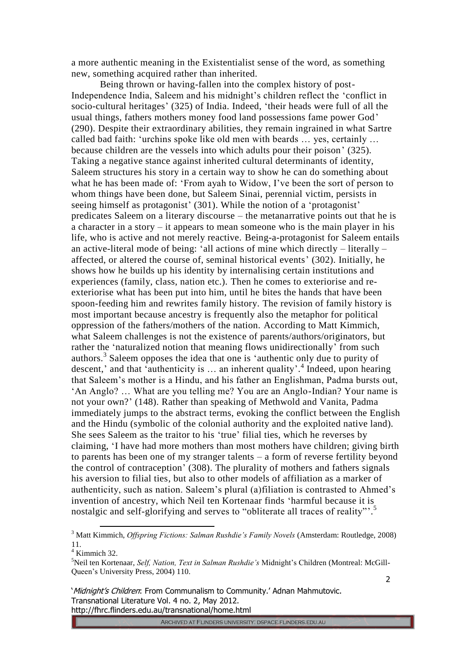a more authentic meaning in the Existentialist sense of the word, as something new, something acquired rather than inherited.

Being thrown or having-fallen into the complex history of post-Independence India, Saleem and his midnight's children reflect the 'conflict in socio-cultural heritages' (325) of India. Indeed, 'their heads were full of all the usual things, fathers mothers money food land possessions fame power God' (290). Despite their extraordinary abilities, they remain ingrained in what Sartre called bad faith: 'urchins spoke like old men with beards … yes, certainly … because children are the vessels into which adults pour their poison' (325). Taking a negative stance against inherited cultural determinants of identity, Saleem structures his story in a certain way to show he can do something about what he has been made of: 'From ayah to Widow, I've been the sort of person to whom things have been done, but Saleem Sinai, perennial victim, persists in seeing himself as protagonist' (301). While the notion of a 'protagonist' predicates Saleem on a literary discourse – the metanarrative points out that he is a character in a story – it appears to mean someone who is the main player in his life, who is active and not merely reactive. Being-a-protagonist for Saleem entails an active-literal mode of being: 'all actions of mine which directly – literally – affected, or altered the course of, seminal historical events' (302). Initially, he shows how he builds up his identity by internalising certain institutions and experiences (family, class, nation etc.). Then he comes to exteriorise and reexteriorise what has been put into him, until he bites the hands that have been spoon-feeding him and rewrites family history. The revision of family history is most important because ancestry is frequently also the metaphor for political oppression of the fathers/mothers of the nation. According to Matt Kimmich, what Saleem challenges is not the existence of parents/authors/originators, but rather the 'naturalized notion that meaning flows unidirectionally' from such authors.<sup>3</sup> Saleem opposes the idea that one is 'authentic only due to purity of descent,' and that 'authenticity is … an inherent quality'. 4 Indeed, upon hearing that Saleem's mother is a Hindu, and his father an Englishman, Padma bursts out, 'An Anglo? … What are you telling me? You are an Anglo-Indian? Your name is not your own?' (148). Rather than speaking of Methwold and Vanita, Padma immediately jumps to the abstract terms, evoking the conflict between the English and the Hindu (symbolic of the colonial authority and the exploited native land). She sees Saleem as the traitor to his 'true' filial ties, which he reverses by claiming, 'I have had more mothers than most mothers have children; giving birth to parents has been one of my stranger talents – a form of reverse fertility beyond the control of contraception' (308). The plurality of mothers and fathers signals his aversion to filial ties, but also to other models of affiliation as a marker of authenticity, such as nation. Saleem's plural (a)filiation is contrasted to Ahmed's invention of ancestry, which Neil ten Kortenaar finds 'harmful because it is nostalgic and self-glorifying and serves to "obliterate all traces of reality"'.<sup>5</sup>

<sup>3</sup> Matt Kimmich, *Offspring Fictions: Salman Rushdie's Family Novels* (Amsterdam: Routledge, 2008) 11.

 $4$  Kimmich 32.

<sup>5</sup>Neil ten Kortenaar, *Self, Nation, Text in Salman Rushdie's* Midnight's Children (Montreal: McGill-Queen's University Press, 2004) 110.

<sup>2</sup>

<sup>&#</sup>x27;Midnight's Children: From Communalism to Community.' Adnan Mahmutovic. Transnational Literature Vol. 4 no. 2, May 2012. http://fhrc.flinders.edu.au/transnational/home.html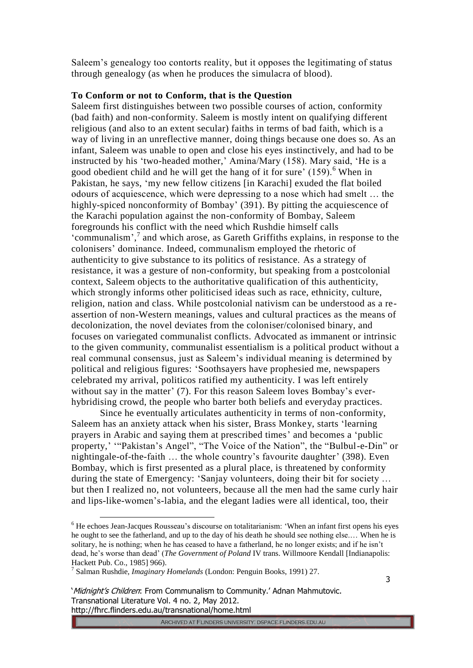Saleem's genealogy too contorts reality, but it opposes the legitimating of status through genealogy (as when he produces the simulacra of blood).

### **To Conform or not to Conform, that is the Question**

Saleem first distinguishes between two possible courses of action, conformity (bad faith) and non-conformity. Saleem is mostly intent on qualifying different religious (and also to an extent secular) faiths in terms of bad faith, which is a way of living in an unreflective manner, doing things because one does so. As an infant, Saleem was unable to open and close his eyes instinctively, and had to be instructed by his 'two-headed mother,' Amina/Mary (158). Mary said, 'He is a good obedient child and he will get the hang of it for sure'  $(159)$ .<sup>6</sup> When in Pakistan, he says, 'my new fellow citizens [in Karachi] exuded the flat boiled odours of acquiescence, which were depressing to a nose which had smelt … the highly-spiced nonconformity of Bombay' (391). By pitting the acquiescence of the Karachi population against the non-conformity of Bombay, Saleem foregrounds his conflict with the need which Rushdie himself calls 'communalism',<sup>7</sup> and which arose, as Gareth Griffiths explains, in response to the colonisers' dominance. Indeed, communalism employed the rhetoric of authenticity to give substance to its politics of resistance. As a strategy of resistance, it was a gesture of non-conformity, but speaking from a postcolonial context, Saleem objects to the authoritative qualification of this authenticity, which strongly informs other politicised ideas such as race, ethnicity, culture, religion, nation and class. While postcolonial nativism can be understood as a reassertion of non-Western meanings, values and cultural practices as the means of decolonization, the novel deviates from the coloniser/colonised binary, and focuses on variegated communalist conflicts. Advocated as immanent or intrinsic to the given community, communalist essentialism is a political product without a real communal consensus, just as Saleem's individual meaning is determined by political and religious figures: 'Soothsayers have prophesied me, newspapers celebrated my arrival, politicos ratified my authenticity. I was left entirely without say in the matter' (7). For this reason Saleem loves Bombay's everhybridising crowd, the people who barter both beliefs and everyday practices.

Since he eventually articulates authenticity in terms of non-conformity, Saleem has an anxiety attack when his sister, Brass Monkey, starts 'learning prayers in Arabic and saying them at prescribed times' and becomes a 'public property,' '"Pakistan's Angel", "The Voice of the Nation", the "Bulbul-e-Din" or nightingale-of-the-faith … the whole country's favourite daughter' (398). Even Bombay, which is first presented as a plural place, is threatened by conformity during the state of Emergency: 'Sanjay volunteers, doing their bit for society … but then I realized no, not volunteers, because all the men had the same curly hair and lips-like-women's-labia, and the elegant ladies were all identical, too, their

<sup>6</sup> He echoes Jean-Jacques Rousseau's discourse on totalitarianism: 'When an infant first opens his eyes he ought to see the fatherland, and up to the day of his death he should see nothing else.… When he is solitary, he is nothing; when he has ceased to have a fatherland, he no longer exists; and if he isn't dead, he's worse than dead' (*The Government of Poland* IV trans. Willmoore Kendall [Indianapolis: Hackett Pub. Co., 1985] 966).

<sup>7</sup> Salman Rushdie, *Imaginary Homelands* (London: Penguin Books, 1991) 27.

<sup>&#</sup>x27;Midnight's Children: From Communalism to Community.' Adnan Mahmutovic. Transnational Literature Vol. 4 no. 2, May 2012. http://fhrc.flinders.edu.au/transnational/home.html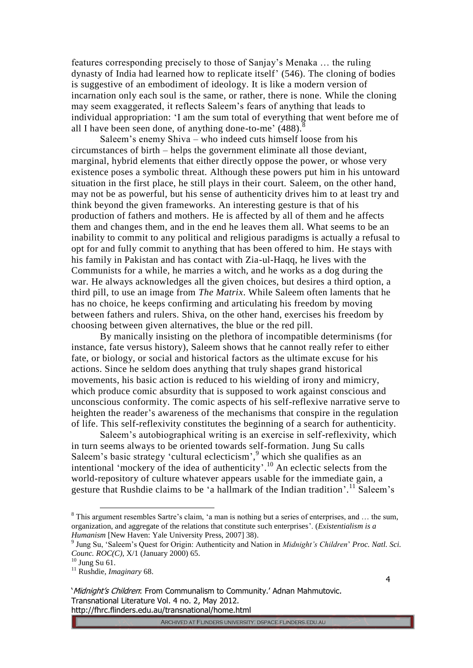features corresponding precisely to those of Sanjay's Menaka … the ruling dynasty of India had learned how to replicate itself' (546). The cloning of bodies is suggestive of an embodiment of ideology. It is like a modern version of incarnation only each soul is the same, or rather, there is none. While the cloning may seem exaggerated, it reflects Saleem's fears of anything that leads to individual appropriation: 'I am the sum total of everything that went before me of all I have been seen done, of anything done-to-me'  $(488)$ .<sup>8</sup>

Saleem's enemy Shiva – who indeed cuts himself loose from his circumstances of birth – helps the government eliminate all those deviant, marginal, hybrid elements that either directly oppose the power, or whose very existence poses a symbolic threat. Although these powers put him in his untoward situation in the first place, he still plays in their court. Saleem, on the other hand, may not be as powerful, but his sense of authenticity drives him to at least try and think beyond the given frameworks. An interesting gesture is that of his production of fathers and mothers. He is affected by all of them and he affects them and changes them, and in the end he leaves them all. What seems to be an inability to commit to any political and religious paradigms is actually a refusal to opt for and fully commit to anything that has been offered to him. He stays with his family in Pakistan and has contact with Zia-ul-Haqq, he lives with the Communists for a while, he marries a witch, and he works as a dog during the war. He always acknowledges all the given choices, but desires a third option, a third pill, to use an image from *The Matrix*. While Saleem often laments that he has no choice, he keeps confirming and articulating his freedom by moving between fathers and rulers. Shiva, on the other hand, exercises his freedom by choosing between given alternatives, the blue or the red pill.

By manically insisting on the plethora of incompatible determinisms (for instance, fate versus history), Saleem shows that he cannot really refer to either fate, or biology, or social and historical factors as the ultimate excuse for his actions. Since he seldom does anything that truly shapes grand historical movements, his basic action is reduced to his wielding of irony and mimicry, which produce comic absurdity that is supposed to work against conscious and unconscious conformity. The comic aspects of his self-reflexive narrative serve to heighten the reader's awareness of the mechanisms that conspire in the regulation of life. This self-reflexivity constitutes the beginning of a search for authenticity.

Saleem's autobiographical writing is an exercise in self-reflexivity, which in turn seems always to be oriented towards self-formation. Jung Su calls Saleem's basic strategy 'cultural eclecticism', <sup>9</sup> which she qualifies as an intentional 'mockery of the idea of authenticity'. <sup>10</sup> An eclectic selects from the world-repository of culture whatever appears usable for the immediate gain, a gesture that Rushdie claims to be 'a hallmark of the Indian tradition'.<sup>11</sup> Saleem's

ARCHIVED AT FLINDERS UNIVERSITY. DSPACE.FLINDERS.EDU.AU

<sup>8</sup> This argument resembles Sartre's claim, 'a man is nothing but a series of enterprises, and … the sum, organization, and aggregate of the relations that constitute such enterprises'. (*Existentialism is a Humanism* [New Haven: Yale University Press, 2007] 38).

<sup>9</sup> Jung Su, 'Saleem's Quest for Origin: Authenticity and Nation in *Midnight's Children*' *Proc. Natl. Sci. Counc. ROC(C)*, X/1 (January 2000) 65.

 $^{10}$  Jung Su 61.

<sup>11</sup> Rushdie, *Imaginary* 68.

<sup>&#</sup>x27;Midnight's Children: From Communalism to Community.' Adnan Mahmutovic. Transnational Literature Vol. 4 no. 2, May 2012. http://fhrc.flinders.edu.au/transnational/home.html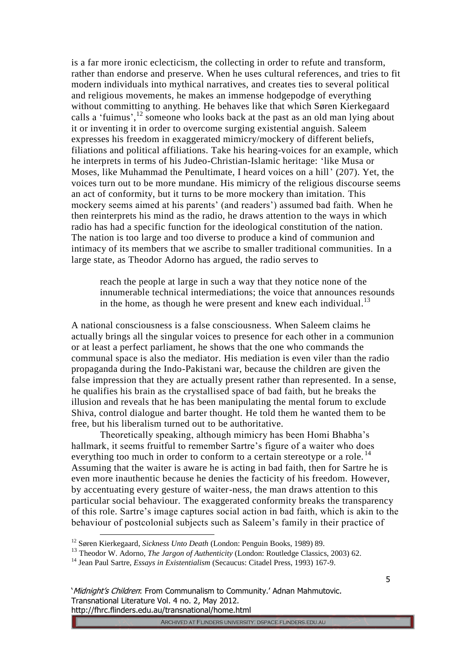is a far more ironic eclecticism, the collecting in order to refute and transform, rather than endorse and preserve. When he uses cultural references, and tries to fit modern individuals into mythical narratives, and creates ties to several political and religious movements, he makes an immense hodgepodge of everything without committing to anything. He behaves like that which Søren Kierkegaard calls a 'fuimus', $^{12}$  someone who looks back at the past as an old man lying about it or inventing it in order to overcome surging existential anguish. Saleem expresses his freedom in exaggerated mimicry/mockery of different beliefs, filiations and political affiliations. Take his hearing-voices for an example, which he interprets in terms of his Judeo-Christian-Islamic heritage: 'like Musa or Moses, like Muhammad the Penultimate, I heard voices on a hill' (207). Yet, the voices turn out to be more mundane. His mimicry of the religious discourse seems an act of conformity, but it turns to be more mockery than imitation. This mockery seems aimed at his parents' (and readers') assumed bad faith. When he then reinterprets his mind as the radio, he draws attention to the ways in which radio has had a specific function for the ideological constitution of the nation. The nation is too large and too diverse to produce a kind of communion and intimacy of its members that we ascribe to smaller traditional communities. In a large state, as Theodor Adorno has argued, the radio serves to

reach the people at large in such a way that they notice none of the innumerable technical intermediations; the voice that announces resounds in the home, as though he were present and knew each individual.<sup>13</sup>

A national consciousness is a false consciousness. When Saleem claims he actually brings all the singular voices to presence for each other in a communion or at least a perfect parliament, he shows that the one who commands the communal space is also the mediator. His mediation is even viler than the radio propaganda during the Indo-Pakistani war, because the children are given the false impression that they are actually present rather than represented. In a sense, he qualifies his brain as the crystallised space of bad faith, but he breaks the illusion and reveals that he has been manipulating the mental forum to exclude Shiva, control dialogue and barter thought. He told them he wanted them to be free, but his liberalism turned out to be authoritative.

Theoretically speaking, although mimicry has been Homi Bhabha's hallmark, it seems fruitful to remember Sartre's figure of a waiter who does everything too much in order to conform to a certain stereotype or a role.<sup>14</sup> Assuming that the waiter is aware he is acting in bad faith, then for Sartre he is even more inauthentic because he denies the facticity of his freedom. However, by accentuating every gesture of waiter-ness, the man draws attention to this particular social behaviour. The exaggerated conformity breaks the transparency of this role. Sartre's image captures social action in bad faith, which is akin to the behaviour of postcolonial subjects such as Saleem's family in their practice of

ARCHIVED AT FLINDERS UNIVERSITY. DSPACE.FLINDERS.EDU.AU

<sup>12</sup> Søren Kierkegaard, *Sickness Unto Death* (London: Penguin Books, 1989) 89.

<sup>&</sup>lt;sup>13</sup> Theodor W. Adorno, *The Jargon of Authenticity* (London: Routledge Classics, 2003) 62.

<sup>14</sup> Jean Paul Sartre, *Essays in Existentialism* (Secaucus: Citadel Press, 1993) 167-9.

<sup>&#</sup>x27;Midnight's Children: From Communalism to Community.' Adnan Mahmutovic. Transnational Literature Vol. 4 no. 2, May 2012. http://fhrc.flinders.edu.au/transnational/home.html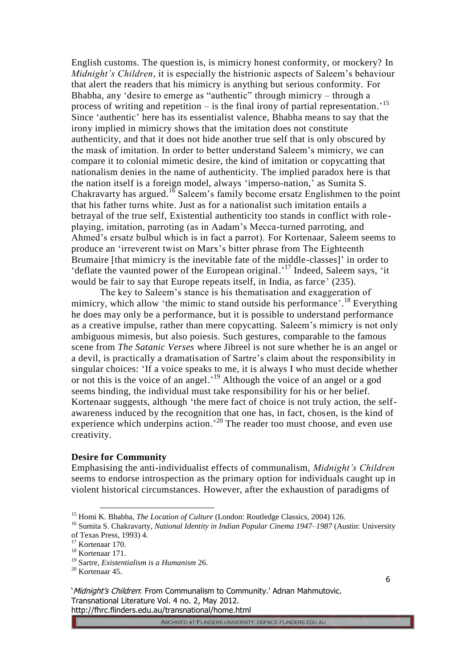English customs. The question is, is mimicry honest conformity, or mockery? In *Midnight's Children*, it is especially the histrionic aspects of Saleem's behaviour that alert the readers that his mimicry is anything but serious conformity. For Bhabha, any 'desire to emerge as "authentic" through mimicry – through a process of writing and repetition  $-$  is the final irony of partial representation.<sup>15</sup> Since 'authentic' here has its essentialist valence, Bhabha means to say that the irony implied in mimicry shows that the imitation does not constitute authenticity, and that it does not hide another true self that is only obscured by the mask of imitation. In order to better understand Saleem's mimicry, we can compare it to colonial mimetic desire, the kind of imitation or copycatting that nationalism denies in the name of authenticity. The implied paradox here is that the nation itself is a foreign model, always 'imperso-nation,' as Sumita S. Chakravarty has argued.<sup>16</sup> Saleem's family become ersatz Englishmen to the point that his father turns white. Just as for a nationalist such imitation entails a betrayal of the true self, Existential authenticity too stands in conflict with roleplaying, imitation, parroting (as in Aadam's Mecca-turned parroting, and Ahmed's ersatz bulbul which is in fact a parrot). For Kortenaar, Saleem seems to produce an 'irreverent twist on Marx's bitter phrase from The Eighteenth Brumaire [that mimicry is the inevitable fate of the middle-classes]' in order to 'deflate the vaunted power of the European original.'<sup>17</sup> Indeed, Saleem says, 'it would be fair to say that Europe repeats itself, in India, as farce' (235).

The key to Saleem's stance is his thematisation and exaggeration of mimicry, which allow 'the mimic to stand outside his performance'.<sup>18</sup> Everything he does may only be a performance, but it is possible to understand performance as a creative impulse, rather than mere copycatting. Saleem's mimicry is not only ambiguous mimesis, but also poiesis. Such gestures, comparable to the famous scene from *The Satanic Verses* where Jibreel is not sure whether he is an angel or a devil, is practically a dramatisation of Sartre's claim about the responsibility in singular choices: 'If a voice speaks to me, it is always I who must decide whether or not this is the voice of an angel.<sup>19</sup> Although the voice of an angel or a god seems binding, the individual must take responsibility for his or her belief. Kortenaar suggests, although 'the mere fact of choice is not truly action, the selfawareness induced by the recognition that one has, in fact, chosen, is the kind of experience which underpins action.<sup>20</sup> The reader too must choose, and even use creativity.

#### **Desire for Community**

Emphasising the anti-individualist effects of communalism, *Midnight's Children* seems to endorse introspection as the primary option for individuals caught up in violent historical circumstances. However, after the exhaustion of paradigms of

<sup>&</sup>lt;sup>15</sup> Homi K. Bhabha, *The Location of Culture* (London: Routledge Classics, 2004) 126.

<sup>16</sup> Sumita S. Chakravarty, *National Identity in Indian Popular Cinema 1947–1987* (Austin: University of Texas Press, 1993) 4.

<sup>&</sup>lt;sup>17</sup> Kortenaar 170.

<sup>&</sup>lt;sup>18</sup> Kortenaar 171.

<sup>19</sup> Sartre, *Existentialism is a Humanism* 26.

<sup>20</sup> Kortenaar 45.

<sup>&#</sup>x27;Midnight's Children: From Communalism to Community.' Adnan Mahmutovic. Transnational Literature Vol. 4 no. 2, May 2012. http://fhrc.flinders.edu.au/transnational/home.html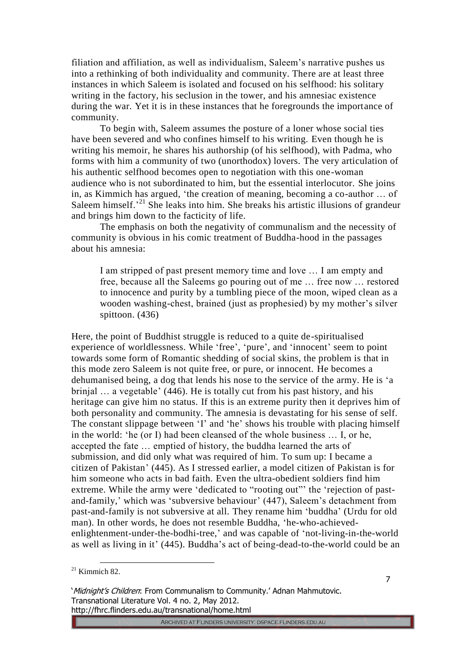filiation and affiliation, as well as individualism, Saleem's narrative pushes us into a rethinking of both individuality and community. There are at least three instances in which Saleem is isolated and focused on his selfhood: his solitary writing in the factory, his seclusion in the tower, and his amnesiac existence during the war. Yet it is in these instances that he foregrounds the importance of community.

To begin with, Saleem assumes the posture of a loner whose social ties have been severed and who confines himself to his writing. Even though he is writing his memoir, he shares his authorship (of his selfhood), with Padma, who forms with him a community of two (unorthodox) lovers. The very articulation of his authentic selfhood becomes open to negotiation with this one-woman audience who is not subordinated to him, but the essential interlocutor. She joins in, as Kimmich has argued, 'the creation of meaning, becoming a co-author … of Saleem himself.<sup>21</sup> She leaks into him. She breaks his artistic illusions of grandeur and brings him down to the facticity of life.

The emphasis on both the negativity of communalism and the necessity of community is obvious in his comic treatment of Buddha-hood in the passages about his amnesia:

I am stripped of past present memory time and love … I am empty and free, because all the Saleems go pouring out of me … free now … restored to innocence and purity by a tumbling piece of the moon, wiped clean as a wooden washing-chest, brained (just as prophesied) by my mother's silver spittoon. (436)

Here, the point of Buddhist struggle is reduced to a quite de-spiritualised experience of worldlessness. While 'free', 'pure', and 'innocent' seem to point towards some form of Romantic shedding of social skins, the problem is that in this mode zero Saleem is not quite free, or pure, or innocent. He becomes a dehumanised being, a dog that lends his nose to the service of the army. He is 'a brinjal … a vegetable' (446). He is totally cut from his past history, and his heritage can give him no status. If this is an extreme purity then it deprives him of both personality and community. The amnesia is devastating for his sense of self. The constant slippage between 'I' and 'he' shows his trouble with placing himself in the world: 'he (or I) had been cleansed of the whole business … I, or he, accepted the fate … emptied of history, the buddha learned the arts of submission, and did only what was required of him. To sum up: I became a citizen of Pakistan' (445). As I stressed earlier, a model citizen of Pakistan is for him someone who acts in bad faith. Even the ultra-obedient soldiers find him extreme. While the army were 'dedicated to "rooting out"' the 'rejection of pastand-family,' which was 'subversive behaviour' (447), Saleem's detachment from past-and-family is not subversive at all. They rename him 'buddha' (Urdu for old man). In other words, he does not resemble Buddha, 'he-who-achievedenlightenment-under-the-bodhi-tree,' and was capable of 'not-living-in-the-world as well as living in it' (445). Buddha's act of being-dead-to-the-world could be an

  $21$  Kimmich 82.

<sup>&#</sup>x27;Midnight's Children: From Communalism to Community.' Adnan Mahmutovic. Transnational Literature Vol. 4 no. 2, May 2012. http://fhrc.flinders.edu.au/transnational/home.html

ARCHIVED AT FLINDERS UNIVERSITY: DSPACE.FLINDERS.EDU.AU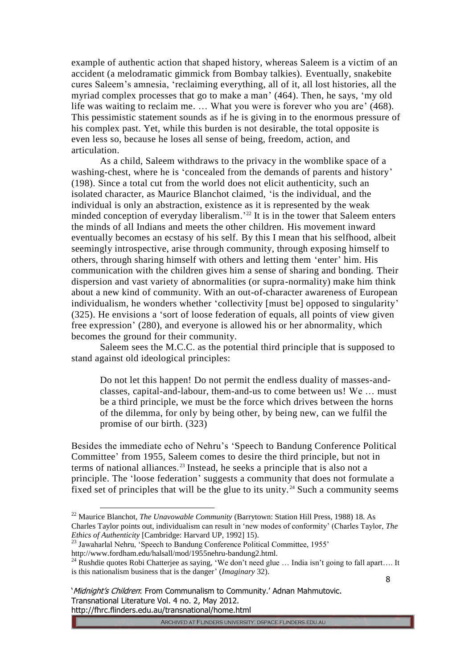example of authentic action that shaped history, whereas Saleem is a victim of an accident (a melodramatic gimmick from Bombay talkies). Eventually, snakebite cures Saleem's amnesia, 'reclaiming everything, all of it, all lost histories, all the myriad complex processes that go to make a man' (464). Then, he says, 'my old life was waiting to reclaim me. … What you were is forever who you are' (468). This pessimistic statement sounds as if he is giving in to the enormous pressure of his complex past. Yet, while this burden is not desirable, the total opposite is even less so, because he loses all sense of being, freedom, action, and articulation.

As a child, Saleem withdraws to the privacy in the womblike space of a washing-chest, where he is 'concealed from the demands of parents and history' (198). Since a total cut from the world does not elicit authenticity, such an isolated character, as Maurice Blanchot claimed, 'is the individual, and the individual is only an abstraction, existence as it is represented by the weak minded conception of everyday liberalism.<sup>'22</sup> It is in the tower that Saleem enters the minds of all Indians and meets the other children. His movement inward eventually becomes an ecstasy of his self. By this I mean that his selfhood, albeit seemingly introspective, arise through community, through exposing himself to others, through sharing himself with others and letting them 'enter' him. His communication with the children gives him a sense of sharing and bonding. Their dispersion and vast variety of abnormalities (or supra-normality) make him think about a new kind of community. With an out-of-character awareness of European individualism, he wonders whether 'collectivity [must be] opposed to singularity' (325). He envisions a 'sort of loose federation of equals, all points of view given free expression' (280), and everyone is allowed his or her abnormality, which becomes the ground for their community.

Saleem sees the M.C.C. as the potential third principle that is supposed to stand against old ideological principles:

Do not let this happen! Do not permit the endless duality of masses-andclasses, capital-and-labour, them-and-us to come between us! We … must be a third principle, we must be the force which drives between the horns of the dilemma, for only by being other, by being new, can we fulfil the promise of our birth. (323)

Besides the immediate echo of Nehru's 'Speech to Bandung Conference Political Committee' from 1955, Saleem comes to desire the third principle, but not in terms of national alliances.<sup>23</sup> Instead, he seeks a principle that is also not a principle. The 'loose federation' suggests a community that does not formulate a fixed set of principles that will be the glue to its unity.<sup>24</sup> Such a community seems

ARCHIVED AT FLINDERS UNIVERSITY. DSPACE.FLINDERS.EDU.AU

<sup>22</sup> Maurice Blanchot, *The Unavowable Community* (Barrytown: Station Hill Press, 1988) 18. As Charles Taylor points out, individualism can result in 'new modes of conformity' (Charles Taylor, *The Ethics of Authenticity* [Cambridge: Harvard UP, 1992] 15).

<sup>&</sup>lt;sup>23</sup> Jawaharlal Nehru, 'Speech to Bandung Conference Political Committee, 1955' http://www.fordham.edu/halsall/mod/1955nehru-bandung2.html.

<sup>&</sup>lt;sup>24</sup> Rushdie quotes Robi Chatterjee as saying, 'We don't need glue ... India isn't going to fall apart.... It is this nationalism business that is the danger' (*Imaginary* 32).

<sup>&#</sup>x27;Midnight's Children: From Communalism to Community.' Adnan Mahmutovic. Transnational Literature Vol. 4 no. 2, May 2012. http://fhrc.flinders.edu.au/transnational/home.html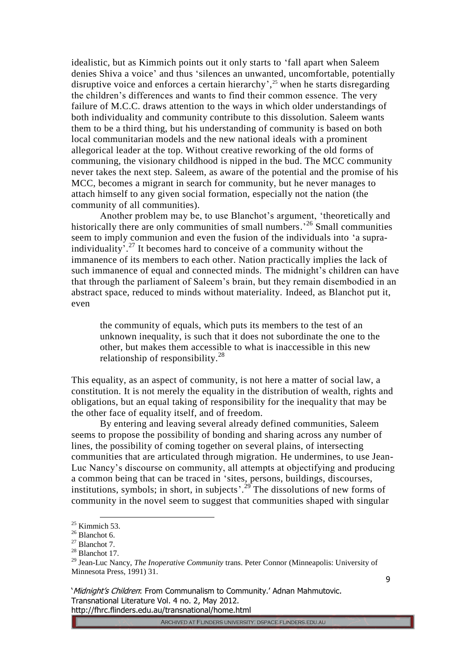idealistic, but as Kimmich points out it only starts to 'fall apart when Saleem denies Shiva a voice' and thus 'silences an unwanted, uncomfortable, potentially disruptive voice and enforces a certain hierarchy', <sup>25</sup> when he starts disregarding the children's differences and wants to find their common essence. The very failure of M.C.C. draws attention to the ways in which older understandings of both individuality and community contribute to this dissolution. Saleem wants them to be a third thing, but his understanding of community is based on both local communitarian models and the new national ideals with a prominent allegorical leader at the top. Without creative reworking of the old forms of communing, the visionary childhood is nipped in the bud. The MCC community never takes the next step. Saleem, as aware of the potential and the promise of his MCC, becomes a migrant in search for community, but he never manages to attach himself to any given social formation, especially not the nation (the community of all communities).

Another problem may be, to use Blanchot's argument, 'theoretically and historically there are only communities of small numbers.<sup>26</sup> Small communities seem to imply communion and even the fusion of the individuals into 'a supraindividuality<sup>2,7</sup> It becomes hard to conceive of a community without the immanence of its members to each other. Nation practically implies the lack of such immanence of equal and connected minds. The midnight's children can have that through the parliament of Saleem's brain, but they remain disembodied in an abstract space, reduced to minds without materiality. Indeed, as Blanchot put it, even

the community of equals, which puts its members to the test of an unknown inequality, is such that it does not subordinate the one to the other, but makes them accessible to what is inaccessible in this new relationship of responsibility.<sup>28</sup>

This equality, as an aspect of community, is not here a matter of social law, a constitution. It is not merely the equality in the distribution of wealth, rights and obligations, but an equal taking of responsibility for the inequality that may be the other face of equality itself, and of freedom.

By entering and leaving several already defined communities, Saleem seems to propose the possibility of bonding and sharing across any number of lines, the possibility of coming together on several plains, of intersecting communities that are articulated through migration. He undermines, to use Jean-Luc Nancy's discourse on community, all attempts at objectifying and producing a common being that can be traced in 'sites, persons, buildings, discourses, institutions, symbols; in short, in subjects'.<sup>29</sup> The dissolutions of new forms of community in the novel seem to suggest that communities shaped with singular

 $25$  Kimmich 53.

 $26$  Blanchot 6.

<sup>27</sup> Blanchot 7.

<sup>&</sup>lt;sup>28</sup> Blanchot 17.

<sup>29</sup> Jean-Luc Nancy, *The Inoperative Community* trans. Peter Connor (Minneapolis: University of Minnesota Press, 1991) 31.

<sup>&#</sup>x27;Midnight's Children: From Communalism to Community.' Adnan Mahmutovic. Transnational Literature Vol. 4 no. 2, May 2012. http://fhrc.flinders.edu.au/transnational/home.html